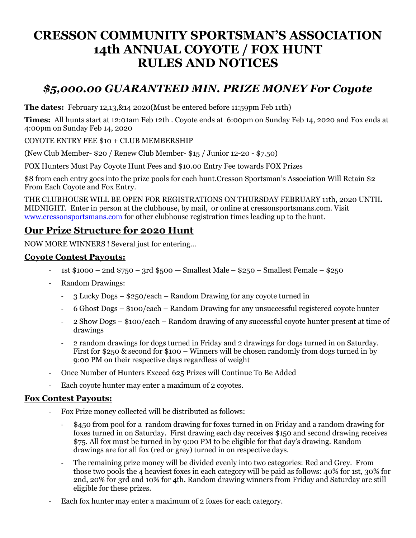# **CRESSON COMMUNITY SPORTSMAN'S ASSOCIATION 14th ANNUAL COYOTE / FOX HUNT RULES AND NOTICES**

## *\$5,000.00 GUARANTEED MIN. PRIZE MONEY For Coyote*

**The dates:** February 12,13,&14 2020(Must be entered before 11:59pm Feb 11th)

**Times:** All hunts start at 12:01am Feb 12th . Coyote ends at 6:00pm on Sunday Feb 14, 2020 and Fox ends at 4:00pm on Sunday Feb 14, 2020

COYOTE ENTRY FEE \$10 + CLUB MEMBERSHIP

(New Club Member- \$20 / Renew Club Member- \$15 / Junior 12-20 - \$7.50)

FOX Hunters Must Pay Coyote Hunt Fees and \$10.00 Entry Fee towards FOX Prizes

\$8 from each entry goes into the prize pools for each hunt.Cresson Sportsman's Association Will Retain \$2 From Each Coyote and Fox Entry.

THE CLUBHOUSE WILL BE OPEN FOR REGISTRATIONS ON THURSDAY FEBRUARY 11th, 2020 UNTIL MIDNIGHT. Enter in person at the clubhouse, by mail, or online at cressonsportsmans.com. Visit [www.cressonsportsmans.com](http://www.cressonsportsmans.com/) for other clubhouse registration times leading up to the hunt.

### **Our Prize Structure for 2020 Hunt**

NOW MORE WINNERS ! Several just for entering…

#### **Coyote Contest Payouts:**

- ‐ 1st \$1000 2nd \$750 3rd \$500 Smallest Male \$250 Smallest Female \$250
- ‐ Random Drawings:
	- ‐ 3 Lucky Dogs \$250/each Random Drawing for any coyote turned in
	- ‐ 6 Ghost Dogs \$100/each Random Drawing for any unsuccessful registered coyote hunter
	- ‐ 2 Show Dogs \$100/each Random drawing of any successful coyote hunter present at time of drawings
	- ‐ 2 random drawings for dogs turned in Friday and 2 drawings for dogs turned in on Saturday. First for \$250 & second for \$100 – Winners will be chosen randomly from dogs turned in by 9:00 PM on their respective days regardless of weight
- ‐ Once Number of Hunters Exceed 625 Prizes will Continue To Be Added
- Each coyote hunter may enter a maximum of 2 coyotes.

#### **Fox Contest Payouts:**

- ‐ Fox Prize money collected will be distributed as follows:
	- ‐ \$450 from pool for a random drawing for foxes turned in on Friday and a random drawing for foxes turned in on Saturday. First drawing each day receives \$150 and second drawing receives \$75. All fox must be turned in by 9:00 PM to be eligible for that day's drawing. Random drawings are for all fox (red or grey) turned in on respective days.
	- ‐ The remaining prize money will be divided evenly into two categories: Red and Grey. From those two pools the 4 heaviest foxes in each category will be paid as follows: 40% for 1st, 30% for 2nd, 20% for 3rd and 10% for 4th. Random drawing winners from Friday and Saturday are still eligible for these prizes.
- Each fox hunter may enter a maximum of 2 foxes for each category.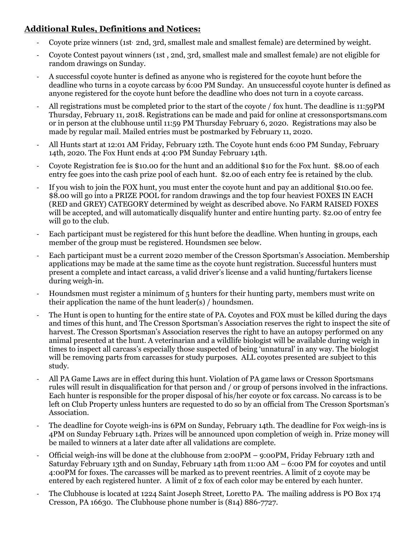### **Additional Rules, Definitions and Notices:**

- ‐ Coyote prize winners (1st, 2nd, 3rd, smallest male and smallest female) are determined by weight.
- ‐ Coyote Contest payout winners (1st , 2nd, 3rd, smallest male and smallest female) are not eligible for random drawings on Sunday.
- ‐ A successful coyote hunter is defined as anyone who is registered for the coyote hunt before the deadline who turns in a coyote carcass by 6:00 PM Sunday. An unsuccessful coyote hunter is defined as anyone registered for the coyote hunt before the deadline who does not turn in a coyote carcass.
- All registrations must be completed prior to the start of the coyote / fox hunt. The deadline is 11:59PM Thursday, February 11, 2018. Registrations can be made and paid for online at cressonsportsmans.com or in person at the clubhouse until 11:59 PM Thursday February 6, 2020. Registrations may also be made by regular mail. Mailed entries must be postmarked by February 11, 2020.
- ‐ All Hunts start at 12:01 AM Friday, February 12th. The Coyote hunt ends 6:00 PM Sunday, February 14th, 2020. The Fox Hunt ends at 4:00 PM Sunday February 14th.
- Coyote Registration fee is \$10.00 for the hunt and an additional \$10 for the Fox hunt. \$8.00 of each entry fee goes into the cash prize pool of each hunt. \$2.00 of each entry fee is retained by the club.
- If you wish to join the FOX hunt, you must enter the coyote hunt and pay an additional \$10.00 fee. \$8.00 will go into a PRIZE POOL for random drawings and the top four heaviest FOXES IN EACH (RED and GREY) CATEGORY determined by weight as described above. No FARM RAISED FOXES will be accepted, and will automatically disqualify hunter and entire hunting party. \$2.00 of entry fee will go to the club.
- Each participant must be registered for this hunt before the deadline. When hunting in groups, each member of the group must be registered. Houndsmen see below.
- Each participant must be a current 2020 member of the Cresson Sportsman's Association. Membership applications may be made at the same time as the coyote hunt registration. Successful hunters must present a complete and intact carcass, a valid driver's license and a valid hunting/furtakers license during weigh-in.
- Houndsmen must register a minimum of  $5$  hunters for their hunting party, members must write on their application the name of the hunt leader(s) / houndsmen.
- The Hunt is open to hunting for the entire state of PA. Coyotes and FOX must be killed during the days and times of this hunt, and The Cresson Sportsman's Association reserves the right to inspect the site of harvest. The Cresson Sportsman's Association reserves the right to have an autopsy performed on any animal presented at the hunt. A veterinarian and a wildlife biologist will be available during weigh in times to inspect all carcass's especially those suspected of being 'unnatural' in any way. The biologist will be removing parts from carcasses for study purposes. ALL coyotes presented are subject to this study.
- ‐ All PA Game Laws are in effect during this hunt. Violation of PA game laws or Cresson Sportsmans rules will result in disqualification for that person and / or group of persons involved in the infractions. Each hunter is responsible for the proper disposal of his/her coyote or fox carcass. No carcass is to be left on Club Property unless hunters are requested to do so by an official from The Cresson Sportsman's Association.
- ‐ The deadline for Coyote weigh-ins is 6PM on Sunday, February 14th. The deadline for Fox weigh-ins is 4PM on Sunday February 14th. Prizes will be announced upon completion of weigh in. Prize money will be mailed to winners at a later date after all validations are complete.
- ‐ Official weigh-ins will be done at the clubhouse from 2:00PM 9:00PM, Friday February 12th and Saturday February 13th and on Sunday, February 14th from 11:00 AM – 6:00 PM for coyotes and until 4:00PM for foxes. The carcasses will be marked as to prevent reentries. A limit of 2 coyote may be entered by each registered hunter. A limit of 2 fox of each color may be entered by each hunter.
- ‐ The Clubhouse is located at 1224 Saint Joseph Street, Loretto PA. The mailing address is PO Box 174 Cresson, PA 16630. The Clubhouse phone number is (814) 886-7727.